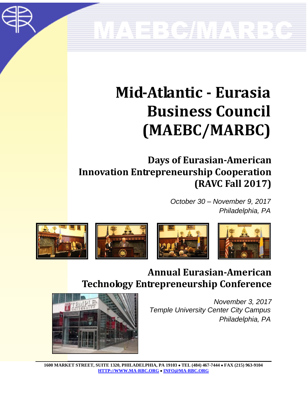# MAEBC/MARBC

### **Mid-Atlantic - Eurasia Business Council (MAEBC/MARBC)**

#### **Days of Eurasian-American Innovation Entrepreneurship Cooperation (RAVC Fall 2017)**

*October 30 – November 9, 2017 Philadelphia, PA*



#### **Annual Eurasian-American Technology Entrepreneurship Conference**

*November 3, 2017 Temple University Center City Campus Philadelphia, PA*



**1600 MARKET STREET, SUITE 1320, PHILADELPHIA, PA 19103 TEL (484) 467-7444 FAX (215) 963-9104 HTTP://WWW.MA-RBC.ORG INFO@MA-RBC.ORG**